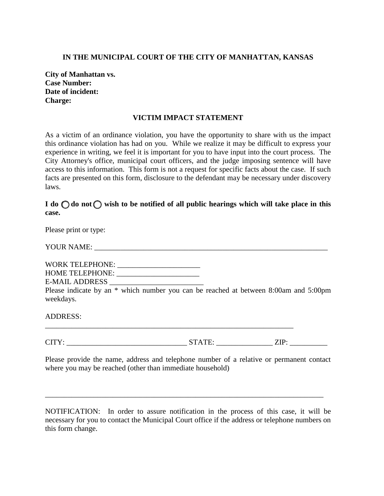## **IN THE MUNICIPAL COURT OF THE CITY OF MANHATTAN, KANSAS**

**City of Manhattan vs. Case Number: Date of incident: Charge:** 

## **VICTIM IMPACT STATEMENT**

As a victim of an ordinance violation, you have the opportunity to share with us the impact this ordinance violation has had on you. While we realize it may be difficult to express your experience in writing, we feel it is important for you to have input into the court process. The City Attorney's office, municipal court officers, and the judge imposing sentence will have access to this information. This form is not a request for specific facts about the case. If such facts are presented on this form, disclosure to the defendant may be necessary under discovery laws.

## $I$  do  $\bigcirc$  do not  $\bigcirc$  wish to be notified of all public hearings which will take place in this **case.**

Please print or type:

YOUR NAME: \_\_\_\_\_\_\_\_\_\_\_\_\_\_\_\_\_\_\_\_\_\_\_\_\_\_\_\_\_\_\_\_\_\_\_\_\_\_\_\_\_\_\_\_\_\_\_\_\_\_\_\_\_\_\_\_\_\_\_\_\_\_

WORK TELEPHONE: \_\_\_\_\_\_\_\_\_\_\_\_\_\_\_\_\_\_\_\_\_\_ HOME TELEPHONE: \_\_\_\_\_\_\_\_\_\_\_\_\_\_\_\_\_\_\_\_\_\_ E-MAIL ADDRESS \_\_\_\_\_\_\_\_\_\_\_\_\_\_\_\_\_\_\_\_\_\_\_\_\_

Please indicate by an \* which number you can be reached at between 8:00am and 5:00pm weekdays.

ADDRESS:

\_\_\_\_\_\_\_\_\_\_\_\_\_\_\_\_\_\_\_\_\_\_\_\_\_\_\_\_\_\_\_\_\_\_\_\_\_\_\_\_\_\_\_\_\_\_\_\_\_\_\_\_\_\_\_\_\_\_\_\_\_\_\_\_\_\_

CITY: STATE: ZIP:

Please provide the name, address and telephone number of a relative or permanent contact where you may be reached (other than immediate household)

NOTIFICATION: In order to assure notification in the process of this case, it will be necessary for you to contact the Municipal Court office if the address or telephone numbers on this form change.

\_\_\_\_\_\_\_\_\_\_\_\_\_\_\_\_\_\_\_\_\_\_\_\_\_\_\_\_\_\_\_\_\_\_\_\_\_\_\_\_\_\_\_\_\_\_\_\_\_\_\_\_\_\_\_\_\_\_\_\_\_\_\_\_\_\_\_\_\_\_\_\_\_\_